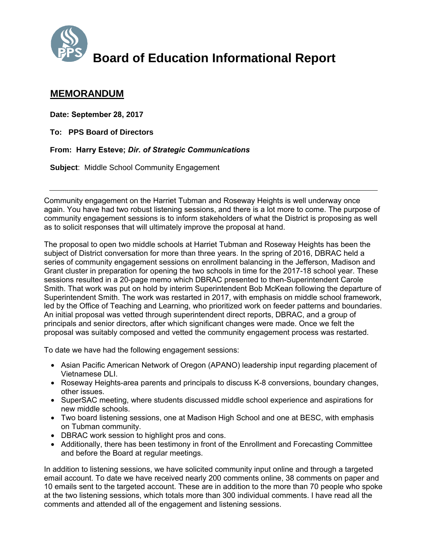

## **Board of Education Informational Report**

## **MEMORANDUM**

**Date: September 28, 2017**

**To: PPS Board of Directors**

**From: Harry Esteve;** *Dir. of Strategic Communications*

**Subject**: Middle School Community Engagement

Community engagement on the Harriet Tubman and Roseway Heights is well underway once again. You have had two robust listening sessions, and there is a lot more to come. The purpose of community engagement sessions is to inform stakeholders of what the District is proposing as well as to solicit responses that will ultimately improve the proposal at hand.

The proposal to open two middle schools at Harriet Tubman and Roseway Heights has been the subject of District conversation for more than three years. In the spring of 2016, DBRAC held a series of community engagement sessions on enrollment balancing in the Jefferson, Madison and Grant cluster in preparation for opening the two schools in time for the 2017-18 school year. These sessions resulted in a 20-page memo which DBRAC presented to then-Superintendent Carole Smith. That work was put on hold by interim Superintendent Bob McKean following the departure of Superintendent Smith. The work was restarted in 2017, with emphasis on middle school framework, led by the Office of Teaching and Learning, who prioritized work on feeder patterns and boundaries. An initial proposal was vetted through superintendent direct reports, DBRAC, and a group of principals and senior directors, after which significant changes were made. Once we felt the proposal was suitably composed and vetted the community engagement process was restarted.

To date we have had the following engagement sessions:

- Asian Pacific American Network of Oregon (APANO) leadership input regarding placement of Vietnamese DLI.
- Roseway Heights-area parents and principals to discuss K-8 conversions, boundary changes, other issues.
- SuperSAC meeting, where students discussed middle school experience and aspirations for new middle schools.
- Two board listening sessions, one at Madison High School and one at BESC, with emphasis on Tubman community.
- DBRAC work session to highlight pros and cons.
- Additionally, there has been testimony in front of the Enrollment and Forecasting Committee and before the Board at regular meetings.

In addition to listening sessions, we have solicited community input online and through a targeted email account. To date we have received nearly 200 comments online, 38 comments on paper and 10 emails sent to the targeted account. These are in addition to the more than 70 people who spoke at the two listening sessions, which totals more than 300 individual comments. I have read all the comments and attended all of the engagement and listening sessions.